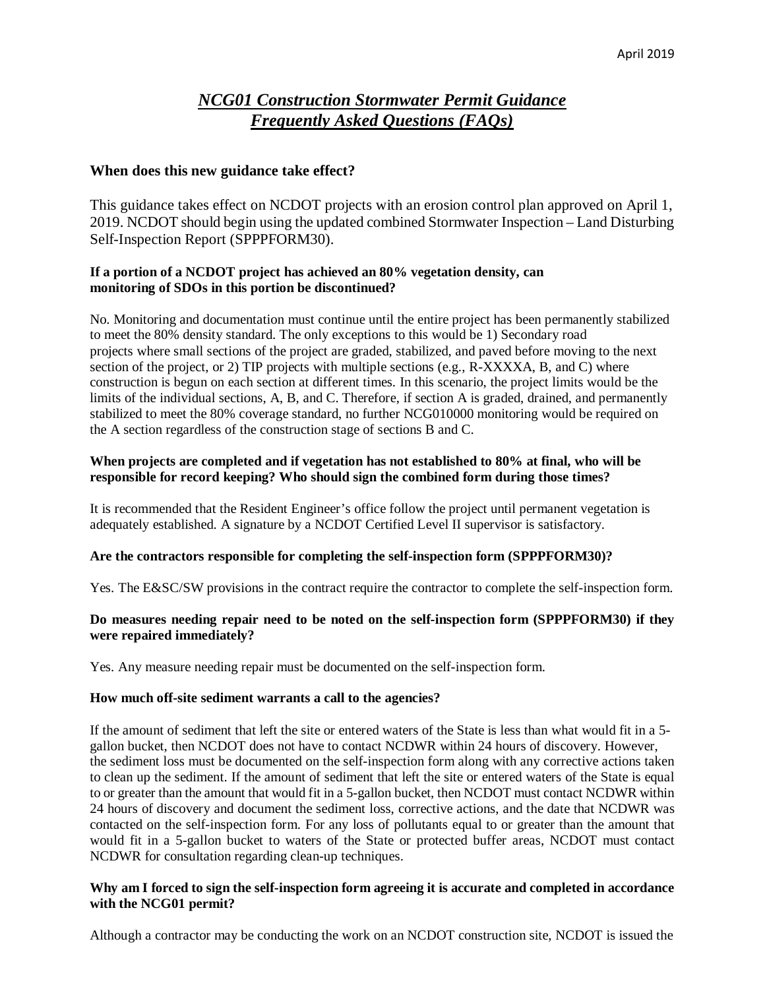# *NCG01 Construction Stormwater Permit Guidance Frequently Asked Questions (FAQs)*

# **When does this new guidance take effect?**

This guidance takes effect on NCDOT projects with an erosion control plan approved on April 1, 2019. NCDOT should begin using the updated combined Stormwater Inspection – Land Disturbing Self-Inspection Report (SPPPFORM30).

# **If a portion of a NCDOT project has achieved an 80% vegetation density, can monitoring of SDOs in this portion be discontinued?**

No. Monitoring and documentation must continue until the entire project has been permanently stabilized to meet the 80% density standard. The only exceptions to this would be 1) Secondary road projects where small sections of the project are graded, stabilized, and paved before moving to the next section of the project, or 2) TIP projects with multiple sections (e.g., R-XXXXA, B, and C) where construction is begun on each section at different times. In this scenario, the project limits would be the limits of the individual sections, A, B, and C. Therefore, if section A is graded, drained, and permanently stabilized to meet the 80% coverage standard, no further NCG010000 monitoring would be required on the A section regardless of the construction stage of sections B and C.

# **When projects are completed and if vegetation has not established to 80% at final, who will be responsible for record keeping? Who should sign the combined form during those times?**

It is recommended that the Resident Engineer's office follow the project until permanent vegetation is adequately established. A signature by a NCDOT Certified Level II supervisor is satisfactory.

# **Are the contractors responsible for completing the self-inspection form (SPPPFORM30)?**

Yes. The E&SC/SW provisions in the contract require the contractor to complete the self-inspection form.

# **Do measures needing repair need to be noted on the self-inspection form (SPPPFORM30) if they were repaired immediately?**

Yes. Any measure needing repair must be documented on the self-inspection form.

# **How much off-site sediment warrants a call to the agencies?**

If the amount of sediment that left the site or entered waters of the State is less than what would fit in a 5 gallon bucket, then NCDOT does not have to contact NCDWR within 24 hours of discovery. However, the sediment loss must be documented on the self-inspection form along with any corrective actions taken to clean up the sediment. If the amount of sediment that left the site or entered waters of the State is equal to or greater than the amount that would fit in a 5-gallon bucket, then NCDOT must contact NCDWR within 24 hours of discovery and document the sediment loss, corrective actions, and the date that NCDWR was contacted on the self-inspection form. For any loss of pollutants equal to or greater than the amount that would fit in a 5-gallon bucket to waters of the State or protected buffer areas, NCDOT must contact NCDWR for consultation regarding clean-up techniques.

# **Why am I forced to sign the self-inspection form agreeing it is accurate and completed in accordance with the NCG01 permit?**

Although a contractor may be conducting the work on an NCDOT construction site, NCDOT is issued the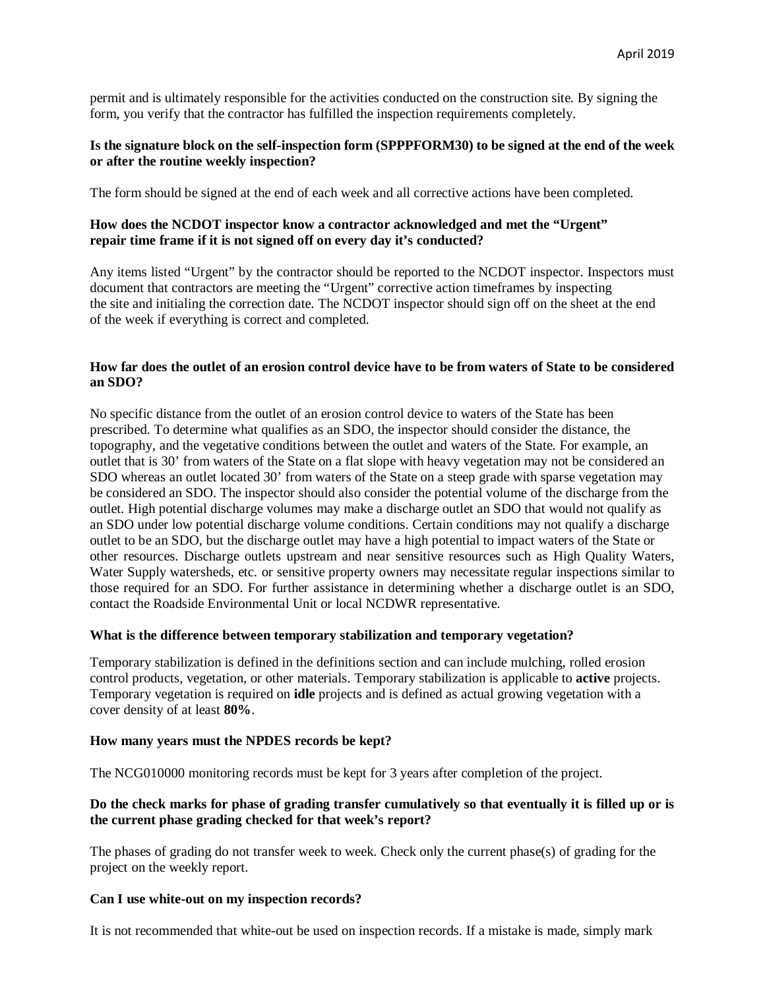permit and is ultimately responsible for the activities conducted on the construction site. By signing the form, you verify that the contractor has fulfilled the inspection requirements completely.

# **Is the signature block on the self-inspection form (SPPPFORM30) to be signed at the end of the week or after the routine weekly inspection?**

The form should be signed at the end of each week and all corrective actions have been completed.

# **How does the NCDOT inspector know a contractor acknowledged and met the "Urgent" repair time frame if it is not signed off on every day it's conducted?**

Any items listed "Urgent" by the contractor should be reported to the NCDOT inspector. Inspectors must document that contractors are meeting the "Urgent" corrective action timeframes by inspecting the site and initialing the correction date. The NCDOT inspector should sign off on the sheet at the end of the week if everything is correct and completed.

#### **How far does the outlet of an erosion control device have to be from waters of State to be considered an SDO?**

No specific distance from the outlet of an erosion control device to waters of the State has been prescribed. To determine what qualifies as an SDO, the inspector should consider the distance, the topography, and the vegetative conditions between the outlet and waters of the State. For example, an outlet that is 30' from waters of the State on a flat slope with heavy vegetation may not be considered an SDO whereas an outlet located 30' from waters of the State on a steep grade with sparse vegetation may be considered an SDO. The inspector should also consider the potential volume of the discharge from the outlet. High potential discharge volumes may make a discharge outlet an SDO that would not qualify as an SDO under low potential discharge volume conditions. Certain conditions may not qualify a discharge outlet to be an SDO, but the discharge outlet may have a high potential to impact waters of the State or other resources. Discharge outlets upstream and near sensitive resources such as High Quality Waters, Water Supply watersheds, etc. or sensitive property owners may necessitate regular inspections similar to those required for an SDO. For further assistance in determining whether a discharge outlet is an SDO, contact the Roadside Environmental Unit or local NCDWR representative.

# **What is the difference between temporary stabilization and temporary vegetation?**

Temporary stabilization is defined in the definitions section and can include mulching, rolled erosion control products, vegetation, or other materials. Temporary stabilization is applicable to **active** projects. Temporary vegetation is required on **idle** projects and is defined as actual growing vegetation with a cover density of at least **80%**.

# **How many years must the NPDES records be kept?**

The NCG010000 monitoring records must be kept for 3 years after completion of the project.

# **Do the check marks for phase of grading transfer cumulatively so that eventually it is filled up or is the current phase grading checked for that week's report?**

The phases of grading do not transfer week to week. Check only the current phase(s) of grading for the project on the weekly report.

#### **Can I use white-out on my inspection records?**

It is not recommended that white-out be used on inspection records. If a mistake is made, simply mark